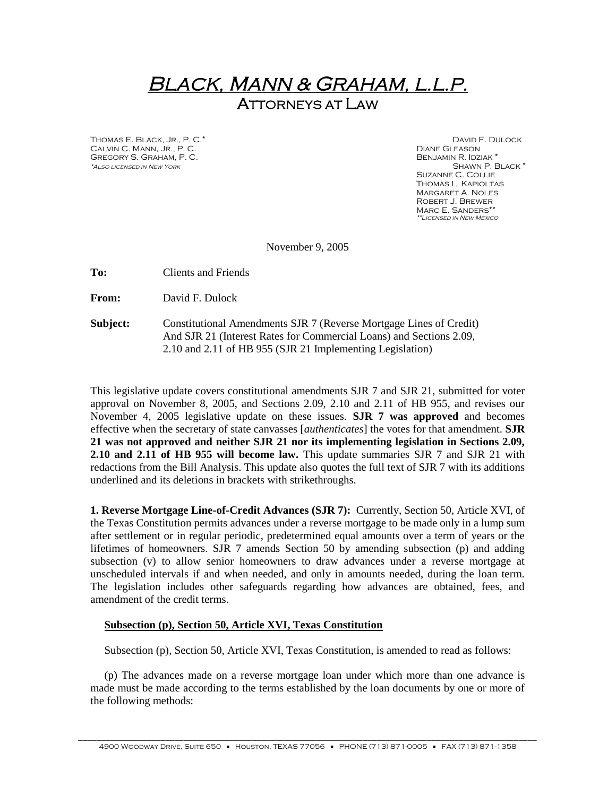## *BLACK, MANN & GRAHAM, L.L.P.* **ATTORNEYS AT LAW**

Thomas E. Black, Jr., P. C.\* David F. Dulock CALVIN C. MANN, JR., P. C. Diane G. C. Diane G. C. DIANE GLEASON DIANE GLEASON DIANE GLEASON DIANE GLEASON DIANE GLEASON DIANE SANTAIRE AND LOCAL AND DIANE GLEASON DIANE AND DIANE AND DIANE AND DIANE AND DIANE AND DIANE AN Gregory S. Graham, P. C. Benjamin R. Idziak \*  $*$ *ALSO* LICENSED IN NEW YORK

Suzanne C. Collie Thomas L. Kapioltas Margaret A. Noles Robert J. Brewer MARC E. SANDERS\*\* *\*\*Licensed in New Mexico*

November 9, 2005

**To:** Clients and Friends

**From:** David F. Dulock

**Subject:** Constitutional Amendments SJR 7 (Reverse Mortgage Lines of Credit) And SJR 21 (Interest Rates for Commercial Loans) and Sections 2.09, 2.10 and 2.11 of HB 955 (SJR 21 Implementing Legislation)

This legislative update covers constitutional amendments SJR 7 and SJR 21, submitted for voter approval on November 8, 2005, and Sections 2.09, 2.10 and 2.11 of HB 955, and revises our November 4, 2005 legislative update on these issues. **SJR 7 was approved** and becomes effective when the secretary of state canvasses [*authenticates*] the votes for that amendment. **SJR 21 was not approved and neither SJR 21 nor its implementing legislation in Sections 2.09, 2.10 and 2.11 of HB 955 will become law.** This update summaries SJR 7 and SJR 21 with redactions from the Bill Analysis. This update also quotes the full text of SJR 7 with its additions underlined and its deletions in brackets with strikethroughs.

**1. Reverse Mortgage Line-of-Credit Advances (SJR 7):** Currently, Section 50, Article XVI, of the Texas Constitution permits advances under a reverse mortgage to be made only in a lump sum after settlement or in regular periodic, predetermined equal amounts over a term of years or the lifetimes of homeowners. SJR 7 amends Section 50 by amending subsection (p) and adding subsection (v) to allow senior homeowners to draw advances under a reverse mortgage at unscheduled intervals if and when needed, and only in amounts needed, during the loan term. The legislation includes other safeguards regarding how advances are obtained, fees, and amendment of the credit terms.

## **Subsection (p), Section 50, Article XVI, Texas Constitution**

Subsection (p), Section 50, Article XVI, Texas Constitution, is amended to read as follows:

(p) The advances made on a reverse mortgage loan under which more than one advance is made must be made according to the terms established by the loan documents by one or more of the following methods: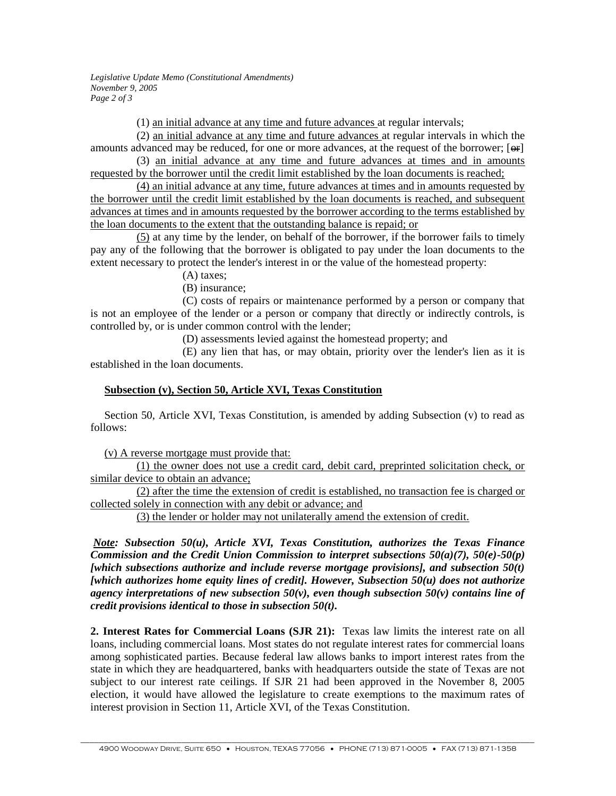*Legislative Update Memo (Constitutional Amendments) November 9, 2005 Page 2 of 3*

(1) an initial advance at any time and future advances at regular intervals;

(2) an initial advance at any time and future advances at regular intervals in which the amounts advanced may be reduced, for one or more advances, at the request of the borrower; [ $\Theta$ F] (3) an initial advance at any time and future advances at times and in amounts

requested by the borrower until the credit limit established by the loan documents is reached;

(4) an initial advance at any time, future advances at times and in amounts requested by the borrower until the credit limit established by the loan documents is reached, and subsequent advances at times and in amounts requested by the borrower according to the terms established by the loan documents to the extent that the outstanding balance is repaid; or

(5) at any time by the lender, on behalf of the borrower, if the borrower fails to timely pay any of the following that the borrower is obligated to pay under the loan documents to the extent necessary to protect the lender's interest in or the value of the homestead property:

(A) taxes;

(B) insurance;

(C) costs of repairs or maintenance performed by a person or company that is not an employee of the lender or a person or company that directly or indirectly controls, is controlled by, or is under common control with the lender;

(D) assessments levied against the homestead property; and

(E) any lien that has, or may obtain, priority over the lender's lien as it is established in the loan documents.

## **Subsection (v), Section 50, Article XVI, Texas Constitution**

Section 50, Article XVI, Texas Constitution, is amended by adding Subsection (v) to read as follows:

(v) A reverse mortgage must provide that:

(1) the owner does not use a credit card, debit card, preprinted solicitation check, or similar device to obtain an advance;

(2) after the time the extension of credit is established, no transaction fee is charged or collected solely in connection with any debit or advance; and

(3) the lender or holder may not unilaterally amend the extension of credit.

*Note: Subsection 50(u), Article XVI, Texas Constitution, authorizes the Texas Finance Commission and the Credit Union Commission to interpret subsections 50(a)(7), 50(e)-50(p) [which subsections authorize and include reverse mortgage provisions], and subsection 50(t) [which authorizes home equity lines of credit]. However, Subsection 50(u) does not authorize agency interpretations of new subsection 50(v), even though subsection 50(v) contains line of credit provisions identical to those in subsection 50(t).*

**2. Interest Rates for Commercial Loans (SJR 21):** Texas law limits the interest rate on all loans, including commercial loans. Most states do not regulate interest rates for commercial loans among sophisticated parties. Because federal law allows banks to import interest rates from the state in which they are headquartered, banks with headquarters outside the state of Texas are not subject to our interest rate ceilings. If SJR 21 had been approved in the November 8, 2005 election, it would have allowed the legislature to create exemptions to the maximum rates of interest provision in Section 11, Article XVI, of the Texas Constitution.